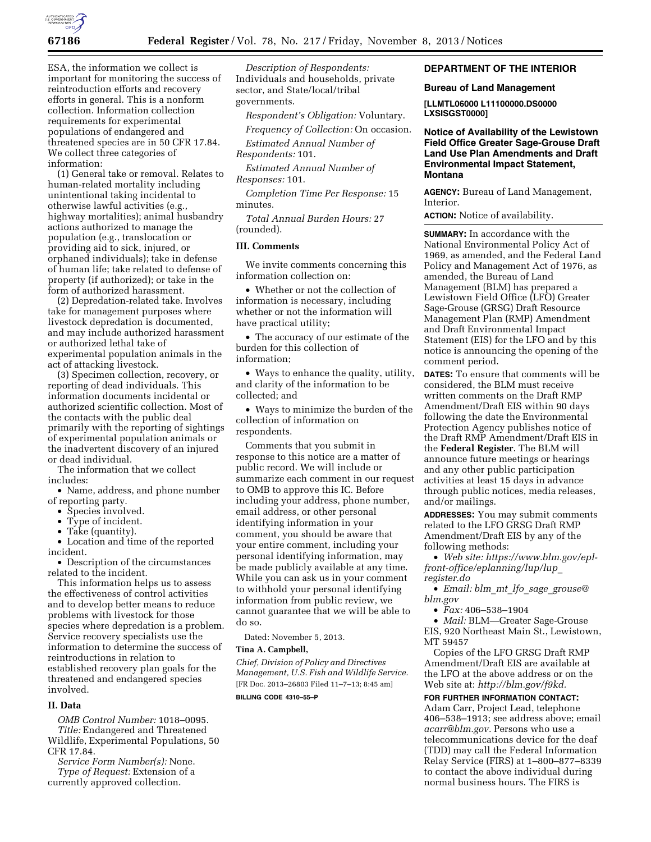

ESA, the information we collect is important for monitoring the success of reintroduction efforts and recovery efforts in general. This is a nonform collection. Information collection requirements for experimental populations of endangered and threatened species are in 50 CFR 17.84. We collect three categories of information:

(1) General take or removal. Relates to human-related mortality including unintentional taking incidental to otherwise lawful activities (e.g., highway mortalities); animal husbandry actions authorized to manage the population (e.g., translocation or providing aid to sick, injured, or orphaned individuals); take in defense of human life; take related to defense of property (if authorized); or take in the form of authorized harassment.

(2) Depredation-related take. Involves take for management purposes where livestock depredation is documented, and may include authorized harassment or authorized lethal take of experimental population animals in the act of attacking livestock.

(3) Specimen collection, recovery, or reporting of dead individuals. This information documents incidental or authorized scientific collection. Most of the contacts with the public deal primarily with the reporting of sightings of experimental population animals or the inadvertent discovery of an injured or dead individual.

The information that we collect includes:

• Name, address, and phone number of reporting party.

- Species involved.
- Type of incident.
- Take (quantity).

• Location and time of the reported incident.

• Description of the circumstances related to the incident.

This information helps us to assess the effectiveness of control activities and to develop better means to reduce problems with livestock for those species where depredation is a problem. Service recovery specialists use the information to determine the success of reintroductions in relation to established recovery plan goals for the threatened and endangered species involved.

## **II. Data**

*OMB Control Number:* 1018–0095. *Title:* Endangered and Threatened Wildlife, Experimental Populations, 50 CFR 17.84.

*Service Form Number(s):* None. *Type of Request:* Extension of a

currently approved collection.

*Description of Respondents:*  Individuals and households, private sector, and State/local/tribal governments.

*Respondent's Obligation:* Voluntary.

*Frequency of Collection:* On occasion.

*Estimated Annual Number of Respondents:* 101.

*Estimated Annual Number of Responses:* 101.

*Completion Time Per Response:* 15 minutes.

*Total Annual Burden Hours:* 27 (rounded).

### **III. Comments**

We invite comments concerning this information collection on:

• Whether or not the collection of information is necessary, including whether or not the information will have practical utility;

• The accuracy of our estimate of the burden for this collection of information;

• Ways to enhance the quality, utility, and clarity of the information to be collected; and

• Ways to minimize the burden of the collection of information on respondents.

Comments that you submit in response to this notice are a matter of public record. We will include or summarize each comment in our request to OMB to approve this IC. Before including your address, phone number, email address, or other personal identifying information in your comment, you should be aware that your entire comment, including your personal identifying information, may be made publicly available at any time. While you can ask us in your comment to withhold your personal identifying information from public review, we cannot guarantee that we will be able to do so.

Dated: November 5, 2013.

#### **Tina A. Campbell,**

*Chief, Division of Policy and Directives Management, U.S. Fish and Wildlife Service.*  [FR Doc. 2013–26803 Filed 11–7–13; 8:45 am] **BILLING CODE 4310–55–P** 

# **DEPARTMENT OF THE INTERIOR**

### **Bureau of Land Management**

**[LLMTL06000 L11100000.DS0000 LXSISGST0000]** 

## **Notice of Availability of the Lewistown Field Office Greater Sage-Grouse Draft Land Use Plan Amendments and Draft Environmental Impact Statement, Montana**

**AGENCY:** Bureau of Land Management, Interior.

**ACTION:** Notice of availability.

**SUMMARY:** In accordance with the National Environmental Policy Act of 1969, as amended, and the Federal Land Policy and Management Act of 1976, as amended, the Bureau of Land Management (BLM) has prepared a Lewistown Field Office (LFO) Greater Sage-Grouse (GRSG) Draft Resource Management Plan (RMP) Amendment and Draft Environmental Impact Statement (EIS) for the LFO and by this notice is announcing the opening of the comment period.

**DATES:** To ensure that comments will be considered, the BLM must receive written comments on the Draft RMP Amendment/Draft EIS within 90 days following the date the Environmental Protection Agency publishes notice of the Draft RMP Amendment/Draft EIS in the **Federal Register**. The BLM will announce future meetings or hearings and any other public participation activities at least 15 days in advance through public notices, media releases, and/or mailings.

**ADDRESSES:** You may submit comments related to the LFO GRSG Draft RMP Amendment/Draft EIS by any of the following methods:

• *Web site: [https://www.blm.gov/epl](https://www.blm.gov/epl-front-office/eplanning/lup/lup_register.do)[front-office/eplanning/lup/lup](https://www.blm.gov/epl-front-office/eplanning/lup/lup_register.do)*\_ *[register.do](https://www.blm.gov/epl-front-office/eplanning/lup/lup_register.do)* 

• *Email: blm*\_*mt*\_*lfo*\_*sage*\_*[grouse@](mailto:blm_mt_lfo_sage_grouse@blm.gov) [blm.gov](mailto:blm_mt_lfo_sage_grouse@blm.gov)* 

• *Fax:* 406–538–1904

• *Mail:* BLM—Greater Sage-Grouse EIS, 920 Northeast Main St., Lewistown, MT 59457

Copies of the LFO GRSG Draft RMP Amendment/Draft EIS are available at the LFO at the above address or on the Web site at: *[http://blm.gov/f9kd.](http://blm.gov/f9kd)* 

**FOR FURTHER INFORMATION CONTACT:**  Adam Carr, Project Lead, telephone 406–538–1913; see address above; email *[acarr@blm.gov.](mailto:acarr@blm.gov)* Persons who use a telecommunications device for the deaf (TDD) may call the Federal Information Relay Service (FIRS) at 1–800–877–8339 to contact the above individual during normal business hours. The FIRS is